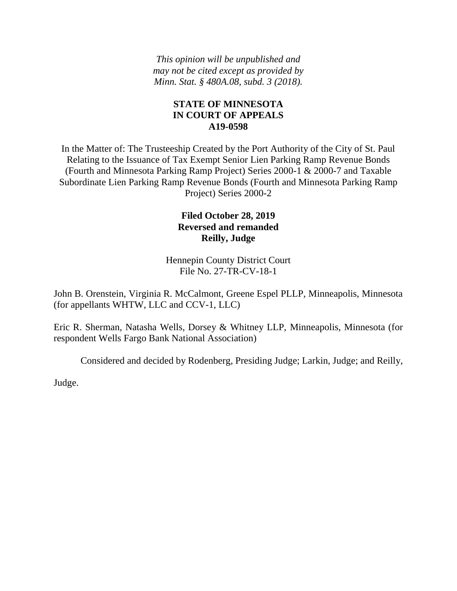*This opinion will be unpublished and may not be cited except as provided by Minn. Stat. § 480A.08, subd. 3 (2018).*

## **STATE OF MINNESOTA IN COURT OF APPEALS A19-0598**

In the Matter of: The Trusteeship Created by the Port Authority of the City of St. Paul Relating to the Issuance of Tax Exempt Senior Lien Parking Ramp Revenue Bonds (Fourth and Minnesota Parking Ramp Project) Series 2000-1 & 2000-7 and Taxable Subordinate Lien Parking Ramp Revenue Bonds (Fourth and Minnesota Parking Ramp Project) Series 2000-2

# **Filed October 28, 2019 Reversed and remanded Reilly, Judge**

Hennepin County District Court File No. 27-TR-CV-18-1

John B. Orenstein, Virginia R. McCalmont, Greene Espel PLLP, Minneapolis, Minnesota (for appellants WHTW, LLC and CCV-1, LLC)

Eric R. Sherman, Natasha Wells, Dorsey & Whitney LLP, Minneapolis, Minnesota (for respondent Wells Fargo Bank National Association)

Considered and decided by Rodenberg, Presiding Judge; Larkin, Judge; and Reilly,

Judge.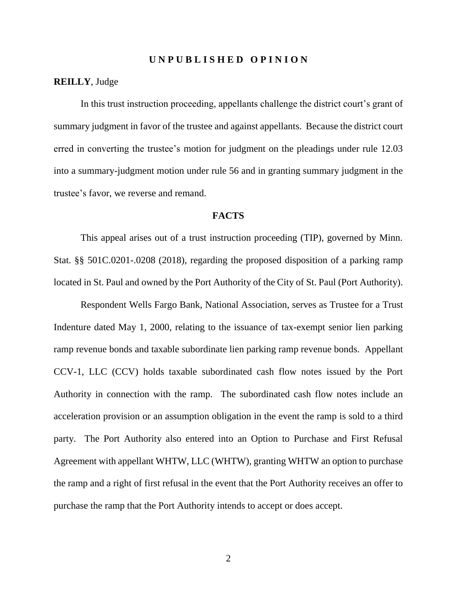#### **U N P U B L I S H E D O P I N I O N**

#### **REILLY**, Judge

In this trust instruction proceeding, appellants challenge the district court's grant of summary judgment in favor of the trustee and against appellants. Because the district court erred in converting the trustee's motion for judgment on the pleadings under rule 12.03 into a summary-judgment motion under rule 56 and in granting summary judgment in the trustee's favor, we reverse and remand.

#### **FACTS**

This appeal arises out of a trust instruction proceeding (TIP), governed by Minn. Stat. §§ 501C.0201-.0208 (2018), regarding the proposed disposition of a parking ramp located in St. Paul and owned by the Port Authority of the City of St. Paul (Port Authority).

Respondent Wells Fargo Bank, National Association, serves as Trustee for a Trust Indenture dated May 1, 2000, relating to the issuance of tax-exempt senior lien parking ramp revenue bonds and taxable subordinate lien parking ramp revenue bonds. Appellant CCV-1, LLC (CCV) holds taxable subordinated cash flow notes issued by the Port Authority in connection with the ramp. The subordinated cash flow notes include an acceleration provision or an assumption obligation in the event the ramp is sold to a third party. The Port Authority also entered into an Option to Purchase and First Refusal Agreement with appellant WHTW, LLC (WHTW), granting WHTW an option to purchase the ramp and a right of first refusal in the event that the Port Authority receives an offer to purchase the ramp that the Port Authority intends to accept or does accept.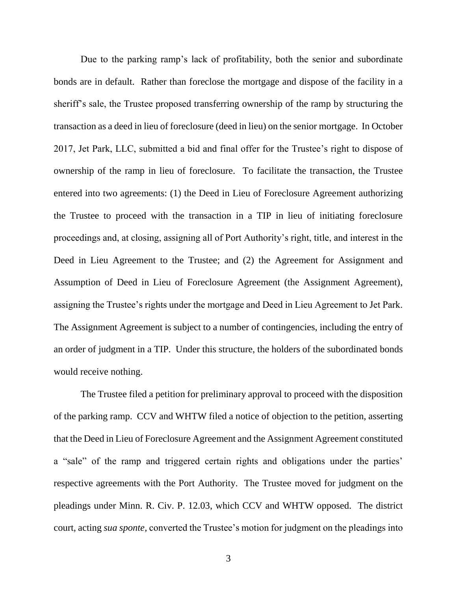Due to the parking ramp's lack of profitability, both the senior and subordinate bonds are in default. Rather than foreclose the mortgage and dispose of the facility in a sheriff's sale, the Trustee proposed transferring ownership of the ramp by structuring the transaction as a deed in lieu of foreclosure (deed in lieu) on the senior mortgage. In October 2017, Jet Park, LLC, submitted a bid and final offer for the Trustee's right to dispose of ownership of the ramp in lieu of foreclosure. To facilitate the transaction, the Trustee entered into two agreements: (1) the Deed in Lieu of Foreclosure Agreement authorizing the Trustee to proceed with the transaction in a TIP in lieu of initiating foreclosure proceedings and, at closing, assigning all of Port Authority's right, title, and interest in the Deed in Lieu Agreement to the Trustee; and (2) the Agreement for Assignment and Assumption of Deed in Lieu of Foreclosure Agreement (the Assignment Agreement), assigning the Trustee's rights under the mortgage and Deed in Lieu Agreement to Jet Park. The Assignment Agreement is subject to a number of contingencies, including the entry of an order of judgment in a TIP. Under this structure, the holders of the subordinated bonds would receive nothing.

The Trustee filed a petition for preliminary approval to proceed with the disposition of the parking ramp. CCV and WHTW filed a notice of objection to the petition, asserting that the Deed in Lieu of Foreclosure Agreement and the Assignment Agreement constituted a "sale" of the ramp and triggered certain rights and obligations under the parties' respective agreements with the Port Authority. The Trustee moved for judgment on the pleadings under Minn. R. Civ. P. 12.03, which CCV and WHTW opposed. The district court, acting *sua sponte*, converted the Trustee's motion for judgment on the pleadings into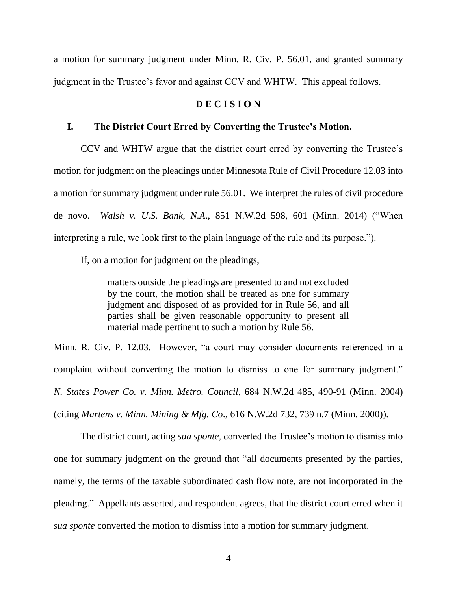a motion for summary judgment under Minn. R. Civ. P. 56.01, and granted summary judgment in the Trustee's favor and against CCV and WHTW. This appeal follows.

#### **D E C I S I O N**

#### **I. The District Court Erred by Converting the Trustee's Motion.**

CCV and WHTW argue that the district court erred by converting the Trustee's motion for judgment on the pleadings under Minnesota Rule of Civil Procedure 12.03 into a motion for summary judgment under rule 56.01. We interpret the rules of civil procedure de novo. *Walsh v. U.S. Bank, N.A*., 851 N.W.2d 598, 601 (Minn. 2014) ("When interpreting a rule, we look first to the plain language of the rule and its purpose.").

If, on a motion for judgment on the pleadings,

matters outside the pleadings are presented to and not excluded by the court, the motion shall be treated as one for summary judgment and disposed of as provided for in Rule 56, and all parties shall be given reasonable opportunity to present all material made pertinent to such a motion by Rule 56.

Minn. R. Civ. P. 12.03. However, "a court may consider documents referenced in a complaint without converting the motion to dismiss to one for summary judgment." *N. States Power Co. v. Minn. Metro. Council*, 684 N.W.2d 485, 490-91 (Minn. 2004) (citing *Martens v. Minn. Mining & Mfg. Co*., 616 N.W.2d 732, 739 n.7 (Minn. 2000)).

The district court, acting *sua sponte*, converted the Trustee's motion to dismiss into one for summary judgment on the ground that "all documents presented by the parties, namely, the terms of the taxable subordinated cash flow note, are not incorporated in the pleading." Appellants asserted, and respondent agrees, that the district court erred when it *sua sponte* converted the motion to dismiss into a motion for summary judgment.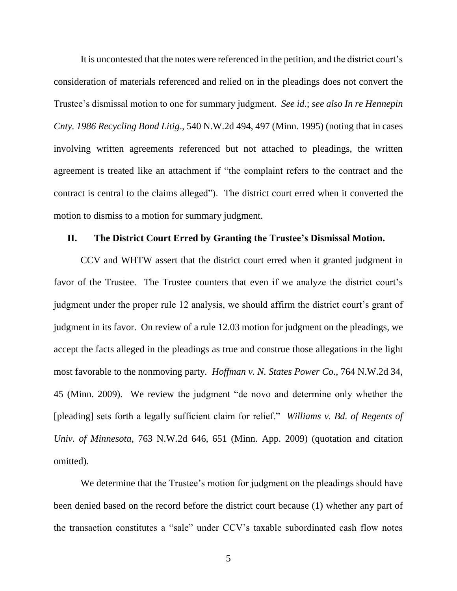It is uncontested that the notes were referenced in the petition, and the district court's consideration of materials referenced and relied on in the pleadings does not convert the Trustee's dismissal motion to one for summary judgment. *See id*.; *see also In re Hennepin Cnty. 1986 Recycling Bond Litig*., 540 N.W.2d 494, 497 (Minn. 1995) (noting that in cases involving written agreements referenced but not attached to pleadings, the written agreement is treated like an attachment if "the complaint refers to the contract and the contract is central to the claims alleged"). The district court erred when it converted the motion to dismiss to a motion for summary judgment.

#### **II. The District Court Erred by Granting the Trustee's Dismissal Motion.**

CCV and WHTW assert that the district court erred when it granted judgment in favor of the Trustee. The Trustee counters that even if we analyze the district court's judgment under the proper rule 12 analysis, we should affirm the district court's grant of judgment in its favor. On review of a rule 12.03 motion for judgment on the pleadings, we accept the facts alleged in the pleadings as true and construe those allegations in the light most favorable to the nonmoving party. *Hoffman v. N. States Power Co*., 764 N.W.2d 34, 45 (Minn. 2009). We review the judgment "de novo and determine only whether the [pleading] sets forth a legally sufficient claim for relief." *Williams v. Bd. of Regents of Univ. of Minnesota*, 763 N.W.2d 646, 651 (Minn. App. 2009) (quotation and citation omitted).

We determine that the Trustee's motion for judgment on the pleadings should have been denied based on the record before the district court because (1) whether any part of the transaction constitutes a "sale" under CCV's taxable subordinated cash flow notes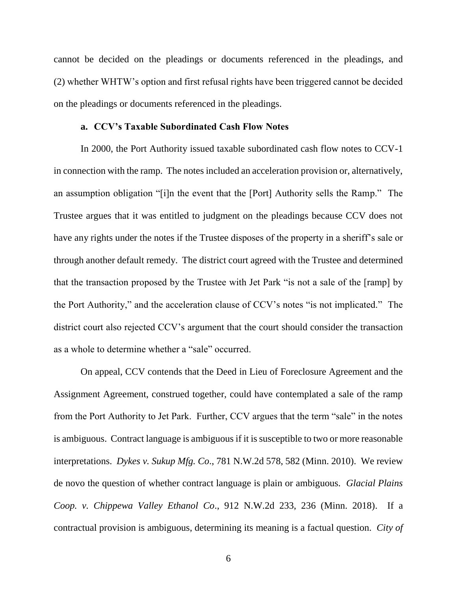cannot be decided on the pleadings or documents referenced in the pleadings, and (2) whether WHTW's option and first refusal rights have been triggered cannot be decided on the pleadings or documents referenced in the pleadings.

#### **a. CCV's Taxable Subordinated Cash Flow Notes**

In 2000, the Port Authority issued taxable subordinated cash flow notes to CCV-1 in connection with the ramp. The notes included an acceleration provision or, alternatively, an assumption obligation "[i]n the event that the [Port] Authority sells the Ramp." The Trustee argues that it was entitled to judgment on the pleadings because CCV does not have any rights under the notes if the Trustee disposes of the property in a sheriff's sale or through another default remedy. The district court agreed with the Trustee and determined that the transaction proposed by the Trustee with Jet Park "is not a sale of the [ramp] by the Port Authority," and the acceleration clause of CCV's notes "is not implicated." The district court also rejected CCV's argument that the court should consider the transaction as a whole to determine whether a "sale" occurred.

On appeal, CCV contends that the Deed in Lieu of Foreclosure Agreement and the Assignment Agreement, construed together, could have contemplated a sale of the ramp from the Port Authority to Jet Park. Further, CCV argues that the term "sale" in the notes is ambiguous. Contract language is ambiguous if it is susceptible to two or more reasonable interpretations. *Dykes v. Sukup Mfg. Co*., 781 N.W.2d 578, 582 (Minn. 2010). We review de novo the question of whether contract language is plain or ambiguous. *Glacial Plains Coop. v. Chippewa Valley Ethanol Co*., 912 N.W.2d 233, 236 (Minn. 2018). If a contractual provision is ambiguous, determining its meaning is a factual question. *City of*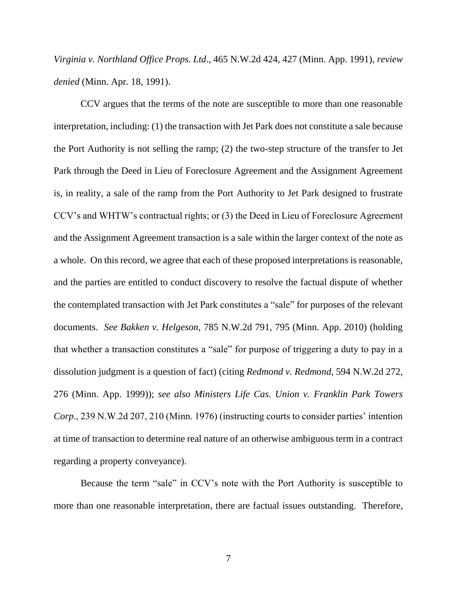*Virginia v. Northland Office Props. Ltd*., 465 N.W.2d 424, 427 (Minn. App. 1991), *review denied* (Minn. Apr. 18, 1991).

CCV argues that the terms of the note are susceptible to more than one reasonable interpretation, including: (1) the transaction with Jet Park does not constitute a sale because the Port Authority is not selling the ramp; (2) the two-step structure of the transfer to Jet Park through the Deed in Lieu of Foreclosure Agreement and the Assignment Agreement is, in reality, a sale of the ramp from the Port Authority to Jet Park designed to frustrate CCV's and WHTW's contractual rights; or (3) the Deed in Lieu of Foreclosure Agreement and the Assignment Agreement transaction is a sale within the larger context of the note as a whole. On this record, we agree that each of these proposed interpretations is reasonable, and the parties are entitled to conduct discovery to resolve the factual dispute of whether the contemplated transaction with Jet Park constitutes a "sale" for purposes of the relevant documents. *See Bakken v. Helgeson*, 785 N.W.2d 791, 795 (Minn. App. 2010) (holding that whether a transaction constitutes a "sale" for purpose of triggering a duty to pay in a dissolution judgment is a question of fact) (citing *Redmond v. Redmond*, 594 N.W.2d 272, 276 (Minn. App. 1999)); *see also Ministers Life Cas. Union v. Franklin Park Towers Corp*., 239 N.W.2d 207, 210 (Minn. 1976) (instructing courts to consider parties' intention at time of transaction to determine real nature of an otherwise ambiguous term in a contract regarding a property conveyance).

Because the term "sale" in CCV's note with the Port Authority is susceptible to more than one reasonable interpretation, there are factual issues outstanding. Therefore,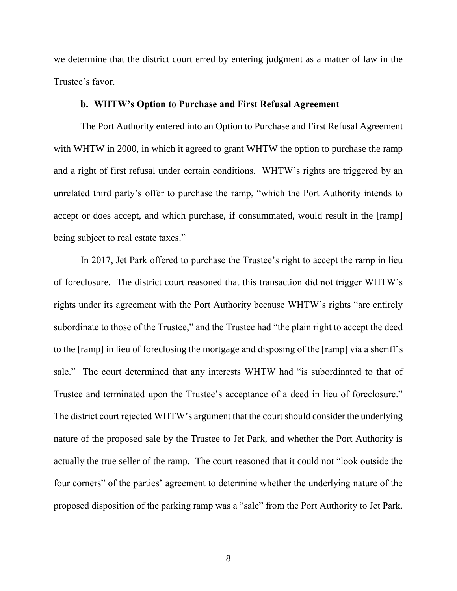we determine that the district court erred by entering judgment as a matter of law in the Trustee's favor.

## **b. WHTW's Option to Purchase and First Refusal Agreement**

The Port Authority entered into an Option to Purchase and First Refusal Agreement with WHTW in 2000, in which it agreed to grant WHTW the option to purchase the ramp and a right of first refusal under certain conditions. WHTW's rights are triggered by an unrelated third party's offer to purchase the ramp, "which the Port Authority intends to accept or does accept, and which purchase, if consummated, would result in the [ramp] being subject to real estate taxes."

In 2017, Jet Park offered to purchase the Trustee's right to accept the ramp in lieu of foreclosure. The district court reasoned that this transaction did not trigger WHTW's rights under its agreement with the Port Authority because WHTW's rights "are entirely subordinate to those of the Trustee," and the Trustee had "the plain right to accept the deed to the [ramp] in lieu of foreclosing the mortgage and disposing of the [ramp] via a sheriff's sale." The court determined that any interests WHTW had "is subordinated to that of Trustee and terminated upon the Trustee's acceptance of a deed in lieu of foreclosure." The district court rejected WHTW's argument that the court should consider the underlying nature of the proposed sale by the Trustee to Jet Park, and whether the Port Authority is actually the true seller of the ramp. The court reasoned that it could not "look outside the four corners" of the parties' agreement to determine whether the underlying nature of the proposed disposition of the parking ramp was a "sale" from the Port Authority to Jet Park.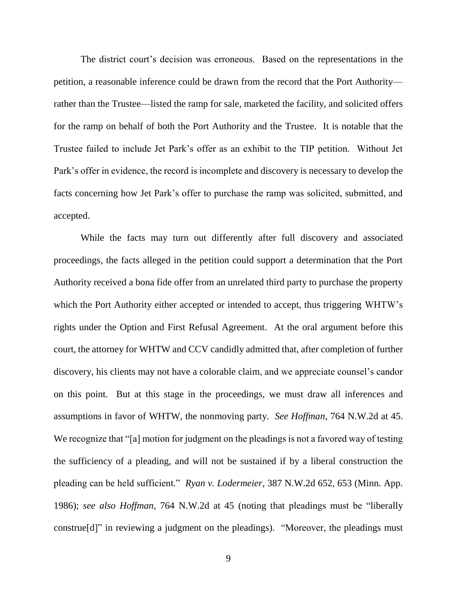The district court's decision was erroneous. Based on the representations in the petition, a reasonable inference could be drawn from the record that the Port Authority rather than the Trustee—listed the ramp for sale, marketed the facility, and solicited offers for the ramp on behalf of both the Port Authority and the Trustee. It is notable that the Trustee failed to include Jet Park's offer as an exhibit to the TIP petition. Without Jet Park's offer in evidence, the record is incomplete and discovery is necessary to develop the facts concerning how Jet Park's offer to purchase the ramp was solicited, submitted, and accepted.

While the facts may turn out differently after full discovery and associated proceedings, the facts alleged in the petition could support a determination that the Port Authority received a bona fide offer from an unrelated third party to purchase the property which the Port Authority either accepted or intended to accept, thus triggering WHTW's rights under the Option and First Refusal Agreement. At the oral argument before this court, the attorney for WHTW and CCV candidly admitted that, after completion of further discovery, his clients may not have a colorable claim, and we appreciate counsel's candor on this point. But at this stage in the proceedings, we must draw all inferences and assumptions in favor of WHTW, the nonmoving party. *See Hoffman*, 764 N.W.2d at 45. We recognize that "[a] motion for judgment on the pleadings is not a favored way of testing the sufficiency of a pleading, and will not be sustained if by a liberal construction the pleading can be held sufficient." *Ryan v. Lodermeier*, 387 N.W.2d 652, 653 (Minn. App. 1986); *see also Hoffman*, 764 N.W.2d at 45 (noting that pleadings must be "liberally construe[d]" in reviewing a judgment on the pleadings). "Moreover, the pleadings must